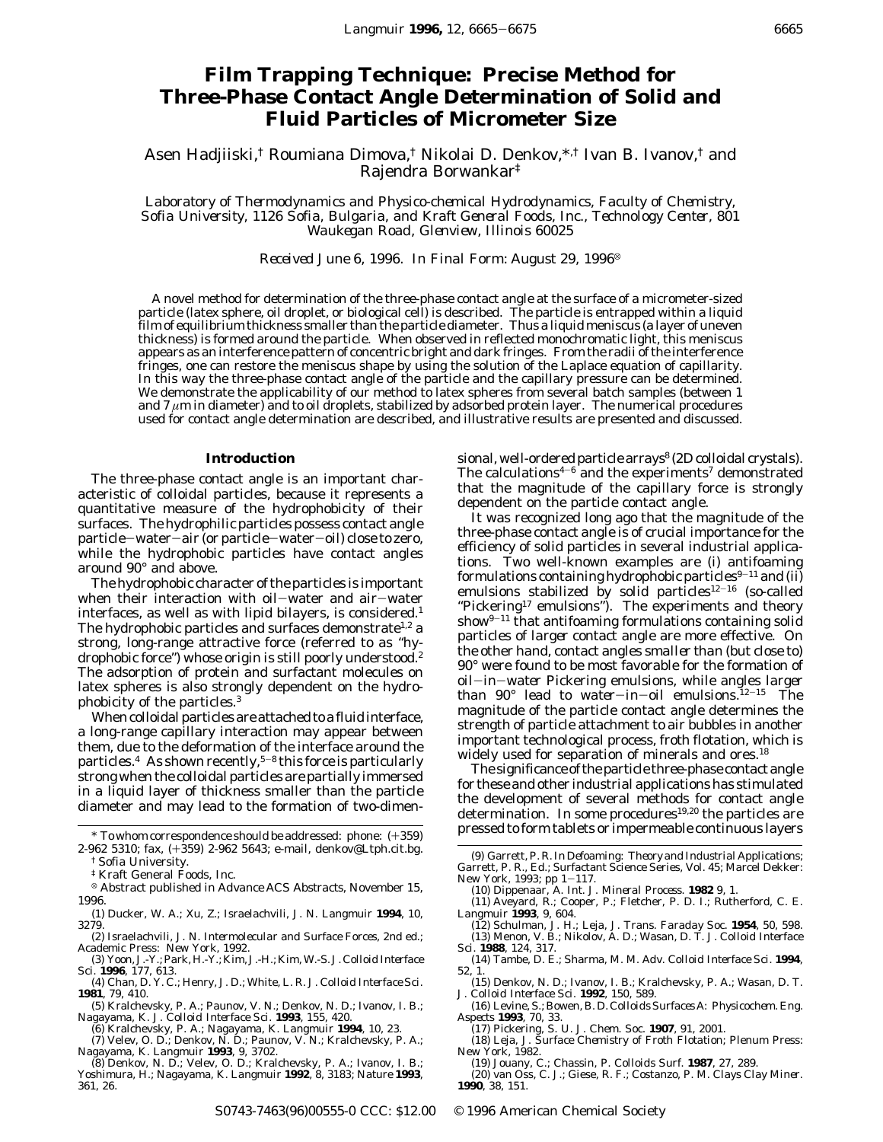# **Film Trapping Technique: Precise Method for Three-Phase Contact Angle Determination of Solid and Fluid Particles of Micrometer Size**

Asen Hadjiiski,† Roumiana Dimova,† Nikolai D. Denkov,\*,† Ivan B. Ivanov,† and Rajendra Borwankar‡

*Laboratory of Thermodynamics and Physico-chemical Hydrodynamics, Faculty of Chemistry, Sofia University, 1126 Sofia, Bulgaria, and Kraft General Foods, Inc., Technology Center, 801 Waukegan Road, Glenview, Illinois 60025*

*Received June 6, 1996. In Final Form: August 29, 1996*<sup>®</sup>

A novel method for determination of the three-phase contact angle at the surface of a micrometer-sized particle (latex sphere, oil droplet, or biological cell) is described. The particle is entrapped within a liquid film of equilibrium thickness smaller than the particle diameter. Thus a liquid meniscus (a layer of uneven thickness) is formed around the particle. When observed in reflected monochromatic light, this meniscus appears as an interference pattern of concentric bright and dark fringes. From the radii of the interference fringes, one can restore the meniscus shape by using the solution of the Laplace equation of capillarity. In this way the three-phase contact angle of the particle and the capillary pressure can be determined. We demonstrate the applicability of our method to latex spheres from several batch samples (between 1 and 7 *µ*m in diameter) and to oil droplets, stabilized by adsorbed protein layer. The numerical procedures used for contact angle determination are described, and illustrative results are presented and discussed.

#### **Introduction**

The three-phase contact angle is an important characteristic of colloidal particles, because it represents a quantitative measure of the hydrophobicity of their surfaces. The hydrophilic particles possess contact angle particle-water-air (or particle-water-oil) close to zero, while the hydrophobic particles have contact angles around 90° and above.

The hydrophobic character of the particles is important when their interaction with oil-water and air-water interfaces, as well as with lipid bilayers, is considered.<sup>1</sup> The hydrophobic particles and surfaces demonstrate<sup>1,2</sup> a strong, long-range attractive force (referred to as "hydrophobic force") whose origin is still poorly understood.<sup>2</sup> The adsorption of protein and surfactant molecules on latex spheres is also strongly dependent on the hydrophobicity of the particles.3

When colloidal particles are attached to a fluid interface, a long-range capillary interaction may appear between them, due to the deformation of the interface around the particles.<sup>4</sup> As shown recently,  $5-8$  this force is particularly strong when the colloidal particles are partially immersed in a liquid layer of thickness smaller than the particle diameter and may lead to the formation of two-dimen-

2-962 5310; fax, (+359) 2-962 5643; e-mail, denkov@Ltph.cit.bg. Sofia University.

(4) Chan, D. Y. C.; Henry, J. D.; White, L. R. *J. Colloid Interface Sci.* **1981**, *79*, 410.

Nagayama, K. *Langmuir* **1993**, *9*, 3702.

sional, well-ordered particle arrays<sup>8</sup> (2D colloidal crystals). The calculations<sup> $4-6$ </sup> and the experiments<sup>7</sup> demonstrated that the magnitude of the capillary force is strongly dependent on the particle contact angle.

It was recognized long ago that the magnitude of the three-phase contact angle is of crucial importance for the efficiency of solid particles in several industrial applications. Two well-known examples are (i) antifoaming formulations containing hydrophobic particles $^{9-11}$  and (ii) emulsions stabilized by solid particles<sup>12-16</sup> (so-called "Pickering<sup>17</sup> emulsions"). The experiments and theory show $9-11$  that antifoaming formulations containing solid particles of *larger* contact angle are more effective. On the other hand, contact angles *smaller than* (but close to) 90° were found to be most favorable for the formation of *oil*-*in*-*water* Pickering emulsions, while angles *larger than* 90° lead to *water*-*in*-*oil* emulsions.12-<sup>15</sup> The magnitude of the particle contact angle determines the strength of particle attachment to air bubbles in another important technological process, *froth flotation*, which is widely used for separation of minerals and ores.<sup>18</sup>

The significance of the particle three-phase contact angle for these and other industrial applications has stimulated the development of several methods for contact angle determination. In some procedures<sup>19,20</sup> the particles are  $*$  To whom correspondence should be addressed: phone:  $(+359)$  pressed to form tablets or impermeable continuous layers

> (9) Garrett, P. R. In *Defoaming: Theory and Industrial Applications*; Garrett, P. R., Ed.; Surfactant Science Series, Vol. 45; Marcel Dekker: New York, 1993; pp 1-117.

(10) Dippenaar, A. *Int. J. Mineral Process.* **1982** *9*, 1.

(11) Aveyard, R.; Cooper, P.; Fletcher, P. D. I.; Rutherford, C. E. *Langmuir* **1993**, *9*, 604.

(12) Schulman, J. H.; Leja, J. *Trans. Faraday Soc.* **1954**, *50*, 598. (13) Menon, V. B.; Nikolov, A. D.; Wasan, D. T. *J. Colloid Interface Sci.* **1988**, *124*, 317.

(14) Tambe, D. E.; Sharma, M. M. *Adv. Colloid Interface Sci.* **1994**, *52*, 1.

- (15) Denkov, N. D.; Ivanov, I. B.; Kralchevsky, P. A.; Wasan, D. T. *J. Colloid Interface Sci.* **1992**, *150*, 589.
- (16) Levine, S.; Bowen, B. D. *Colloids Surfaces A: Physicochem. Eng. Aspects* **1993**, *70*, 33.

(19) Jouany, C.; Chassin, P. *Colloids Surf.* **1987**, *27*, 289. (20) van Oss, C. J.; Giese, R. F.; Costanzo, P. M. *Clays Clay Miner.* **1990**, *38*, 151.

S0743-7463(96)00555-0 CCC: \$12.00 © 1996 American Chemical Society

<sup>‡</sup> Kraft General Foods, Inc.

<sup>&</sup>lt;sup>®</sup> Abstract published in *Advance ACS Abstracts*, November 15, 1996.

<sup>(1)</sup> Ducker, W. A.; Xu, Z.; Israelachvili, J. N. *Langmuir* **1994**, *10*, 3279.

<sup>(2)</sup> Israelachvili, J. N. *Intermolecular and Surface Forces*, 2nd ed.; Academic Press: New York, 1992.

<sup>(3)</sup> Yoon, J.-Y.; Park, H.-Y.; Kim, J.-H.; Kim,W.-S.*J. Colloid Interface Sci.* **1996**, *177*, 613.

<sup>(5)</sup> Kralchevsky, P. A.; Paunov, V. N.; Denkov, N. D.; Ivanov, I. B.; Nagayama, K. *J. Colloid Interface Sci.* **1993**, *155*, 420.

<sup>(6)</sup> Kralchevsky, P. A.; Nagayama, K. *Langmuir* **1994**, *10*, 23. (7) Velev, O. D.; Denkov, N. D.; Paunov, V. N.; Kralchevsky, P. A.;

<sup>(8)</sup> Denkov, N. D.; Velev, O. D.; Kralchevsky, P. A.; Ivanov, I. B.; Yoshimura, H.; Nagayama, K. *Langmuir* **1992**, *8*, 3183; *Nature* **1993**, *361*, 26.

<sup>(17)</sup> Pickering, S. U. *J. Chem. Soc.* **1907**, *91*, 2001. (18) Leja, J. *Surface Chemistry of Froth Flotation*; Plenum Press: New York, 1982.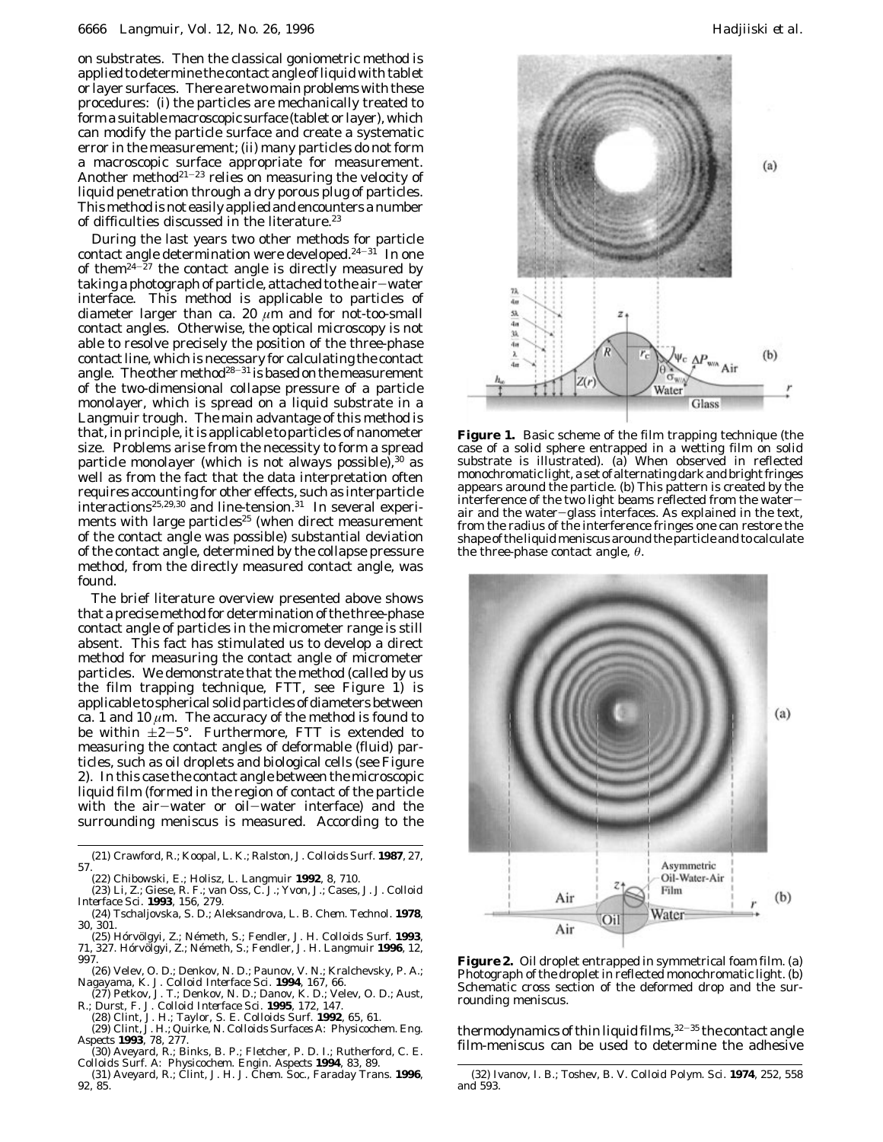on substrates. Then the classical goniometric method is applied to determine the contact angle of liquid with tablet or layer surfaces. There are two main problems with these procedures: (i) the particles are mechanically treated to form a suitablemacroscopic surface (tablet or layer), which can modify the particle surface and create a systematic error in the measurement; (ii) many particles do not form a macroscopic surface appropriate for measurement. Another method<sup>21-23</sup> relies on measuring the velocity of liquid penetration through a dry porous plug of particles. This method is not easily applied and encounters a number of difficulties discussed in the literature.<sup>23</sup>

During the last years two other methods for particle contact angle determination were developed.<sup>24-31</sup> In one of them<sup>24-27</sup> the contact angle is directly measured by taking a photograph of particle, attached to the air-water interface. This method is applicable to particles of diameter larger than ca. 20 *µ*m and for not-too-small contact angles. Otherwise, the optical microscopy is not able to resolve precisely the position of the three-phase contact line, which is necessary for calculating the contact angle. The other method<sup>28-31</sup> is based on the measurement of the two-dimensional *collapse* pressure of a particle monolayer, which is spread on a liquid substrate in a Langmuir trough. The main advantage of this method is that, in principle, it is applicable to particles of nanometer size. Problems arise from the necessity to form a spread particle monolayer (which is not always possible), $30$  as well as from the fact that the data interpretation often requires accounting for other effects, such as interparticle interactions<sup>25,29,30</sup> and line-tension.<sup>31</sup> In several experiments with large particles<sup>25</sup> (when direct measurement of the contact angle was possible) substantial deviation of the contact angle, determined by the collapse pressure method, from the directly measured contact angle, was found.

The brief literature overview presented above shows that a precise method for determination of the three-phase contact angle of particles in the micrometer range is still absent. This fact has stimulated us to develop a direct method for measuring the contact angle of micrometer particles. We demonstrate that the method (called by us the film trapping technique, FTT, see Figure 1) is applicable to spherical solid particles of diameters between ca. 1 and 10 *µ*m. The accuracy of the method is found to be within  $\pm 2-5^{\circ}$ . Furthermore, FTT is extended to measuring the contact angles of deformable (fluid) particles, such as oil droplets and biological cells (see Figure 2). In this case the contact angle between the microscopic liquid film (formed in the region of contact of the particle with the air-water or oil-water interface) and the surrounding meniscus is measured. According to the

- (22) Chibowski, E.; Holisz, L. *Langmuir* **1992**, *8*, 710.
- (23) Li, Z.; Giese, R. F.; van Oss, C. J.; Yvon, J.; Cases, J. *J. Colloid Interface Sci.* **1993**, *156*, 279.
- (24) Tschaljovska, S. D.; Aleksandrova, L. B. *Chem. Technol.* **1978**, *30*, 301.
- (25) Hórvölgyi, Z.; Németh, S.; Fendler, J. H. *Colloids Surf.* 1993, *71*, 327. Ho´rvo¨ lgyi, Z.; Ne´meth, S.; Fendler, J. H. *Langmuir* **1996**, *12*, 997.
- (26) Velev, O. D.; Denkov, N. D.; Paunov, V. N.; Kralchevsky, P. A.; Nagayama, K. *J. Colloid Interface Sci.* **1994**, *167*, 66. (27) Petkov, J. T.; Denkov, N. D.; Danov, K. D.; Velev, O. D.; Aust,
- 
- R.; Durst, F. *J. Colloid Interface Sci.* **1995**, *172*, 147. (28) Clint, J. H.; Taylor, S. E. *Colloids Surf.* **1992**, *65*, 61.
- (29) Clint, J. H.; Quirke, N. *Colloids Surfaces A: Physicochem. Eng. Aspects* **1993**, *78*, 277.
- (30) Aveyard, R.; Binks, B. P.; Fletcher, P. D. I.; Rutherford, C. E. *Colloids Surf. A: Physicochem. Engin. Aspects* **1994**, *83*, 89. (31) Aveyard, R.; Clint, J. H. *J. Chem. Soc., Faraday Trans.* **1996**,
- *92*, 85.



**Figure 1.** Basic scheme of the film trapping technique (the case of a solid sphere entrapped in a wetting film on solid substrate is illustrated). (a) When observed in reflected monochromatic light, a set of alternating dark and bright fringes appears around the particle. (b) This pattern is created by the interference of the two light beams reflected from the waterair and the water-glass interfaces. As explained in the text, from the radius of the interference fringes one can restore the shape of the liquid meniscus around the particle and to calculate the three-phase contact angle, *θ*.



**Figure 2.** Oil droplet entrapped in symmetrical foam film. (a) Photograph of the droplet in reflected monochromatic light. (b) Schematic cross section of the deformed drop and the surrounding meniscus.

thermodynamics of thin liquid films,  $32-35$  the contact angle film-meniscus can be used to determine the adhesive

<sup>(21)</sup> Crawford, R.; Koopal, L. K.; Ralston, J. *Colloids Surf.* **1987**, *27*, 57.

<sup>(32)</sup> Ivanov, I. B.; Toshev, B. V. *Colloid Polym. Sci.* **1974**, *252*, 558 and 593.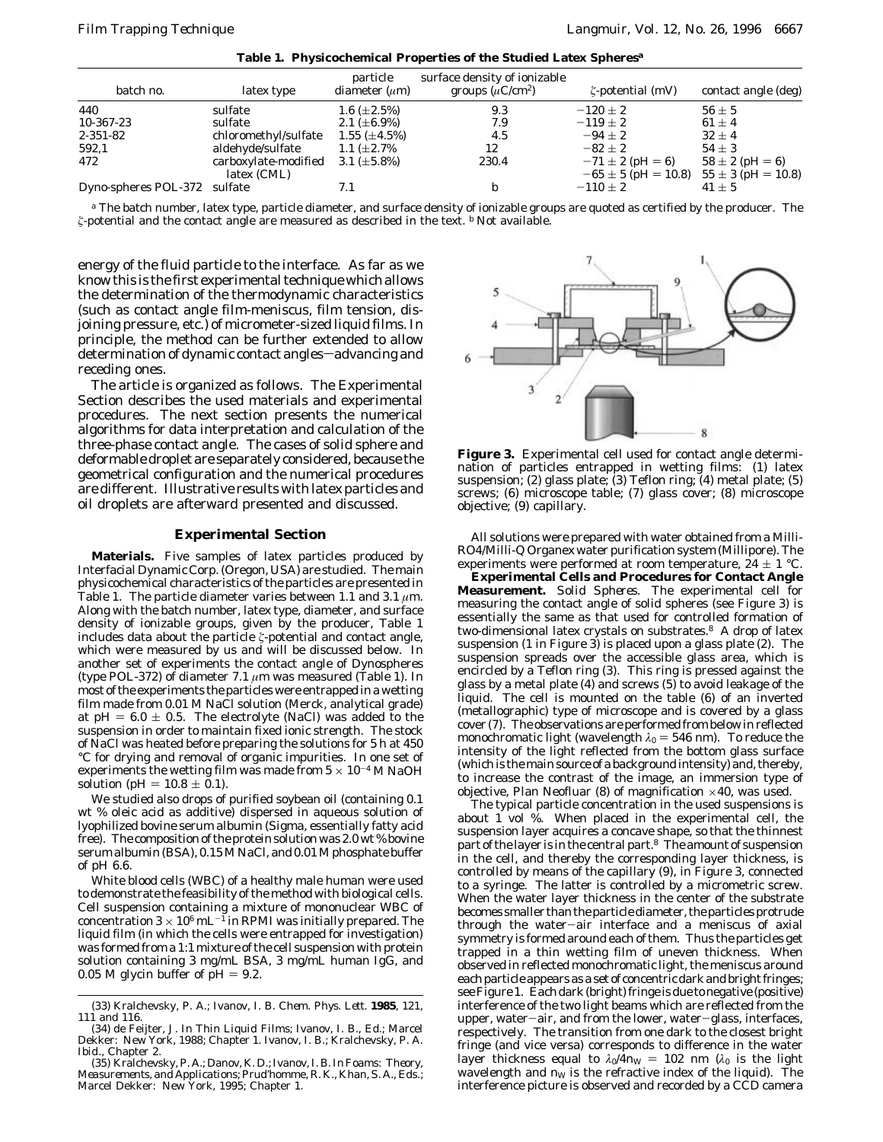| Table 1. Physicochemical Properties of the Studied Latex Spheres <sup>a</sup> |
|-------------------------------------------------------------------------------|
|-------------------------------------------------------------------------------|

| batch no.                    | latex type           | particle<br>diameter $(\mu m)$ | surface density of ionizable<br>groups $(\mu$ C/cm <sup>2</sup> ) | $\zeta$ -potential (mV)                        | contact angle (deg) |
|------------------------------|----------------------|--------------------------------|-------------------------------------------------------------------|------------------------------------------------|---------------------|
| 440                          | sulfate              | 1.6 $(\pm 2.5\%)$              | 9.3                                                               | $-120 \pm 2$                                   | $56 \pm 5$          |
| 10-367-23                    | sulfate              | 2.1 ( $\pm 6.9%$ )             | 7.9                                                               | $-119 \pm 2$                                   | $61 \pm 4$          |
| $2 - 351 - 82$               | chloromethyl/sulfate | $1.55 \ (\pm 4.5\%)$           | 4.5                                                               | $-94 + 2$                                      | $32 + 4$            |
| 592.1                        | aldehyde/sulfate     | 1.1 $(\pm 2.7\%)$              | 12                                                                | $-82 + 2$                                      | $54\pm3$            |
| 472                          | carboxylate-modified | $3.1 (\pm 5.8\%)$              | 230.4                                                             | $-71 \pm 2$ (pH = 6)                           | $58 \pm 2$ (pH = 6) |
|                              | latex (CML)          |                                |                                                                   | $-65 \pm 5$ (pH = 10.8) $55 \pm 3$ (pH = 10.8) |                     |
| Dyno-spheres POL-372 sulfate |                      |                                |                                                                   | $-110 \pm 2$                                   | $41 + 5$            |

*<sup>a</sup>* The batch number, latex type, particle diameter, and surface density of ionizable groups are quoted as certified by the producer. The *ú*-potential and the contact angle are measured as described in the text. *<sup>b</sup>* Not available.

energy of the fluid particle to the interface. As far as we know this is the first experimental technique which allows the determination of the thermodynamic characteristics (such as contact angle film-meniscus, film tension, disjoining pressure, etc.) of micrometer-sized liquid films. In principle, the method can be further extended to allow determination of dynamic contact angles-advancing and receding ones.

The article is organized as follows. The Experimental Section describes the used materials and experimental procedures. The next section presents the numerical algorithms for data interpretation and calculation of the three-phase contact angle. The cases of solid sphere and deformable droplet are separately considered, because the geometrical configuration and the numerical procedures are different. Illustrative results with latex particles and oil droplets are afterward presented and discussed.

## **Experimental Section**

**Materials.** Five samples of latex particles produced by Interfacial Dynamic Corp. (Oregon, USA) are studied. The main physicochemical characteristics of the particles are presented in Table 1. The particle diameter varies between 1.1 and 3.1 *µ*m. Along with the batch number, latex type, diameter, and surface density of ionizable groups, given by the producer, Table 1 includes data about the particle *ú*-potential and contact angle, which were measured by us and will be discussed below. In another set of experiments the contact angle of Dynospheres (type POL-372) of diameter 7.1 *µ*m was measured (Table 1). In most of the experiments the particles were entrapped in a wetting film made from 0.01 M NaCl solution (Merck, analytical grade) at  $pH = 6.0 \pm 0.5$ . The electrolyte (NaCl) was added to the suspension in order to maintain fixed ionic strength. The stock of NaCl was heated before preparing the solutions for 5 h at 450 °C for drying and removal of organic impurities. In one set of experiments the wetting film was made from  $5 \times 10^{-4}$  M NaOH solution (pH =  $10.8 \pm 0.1$ ).

We studied also drops of purified soybean oil (containing 0.1 wt % oleic acid as additive) dispersed in aqueous solution of lyophilized bovine serum albumin (Sigma, essentially fatty acid free). The composition of the protein solution was 2.0 wt % bovine serum albumin (BSA), 0.15 M NaCl, and 0.01 M phosphate buffer of pH 6.6.

White blood cells (WBC) of a healthy male human were used to demonstrate the feasibility of the method with biological cells. Cell suspension containing a mixture of mononuclear WBC of concentration  $3 \times 10^6$  mL<sup>-1</sup> in RPMI was initially prepared. The liquid film (in which the cells were entrapped for investigation) was formed from a 1:1 mixture of the cell suspension with protein solution containing 3 mg/mL BSA, 3 mg/mL human IgG, and 0.05 M glycin buffer of  $pH = 9.2$ .



**Figure 3.** Experimental cell used for contact angle determination of particles entrapped in wetting films: (1) latex suspension; (2) glass plate; (3) Teflon ring; (4) metal plate; (5) screws; (6) microscope table; (7) glass cover; (8) microscope objective; (9) capillary.

All solutions were prepared with water obtained from a Milli-RO4/Milli-Q Organex water purification system (Millipore). The experiments were performed at room temperature,  $24 \pm 1$  °C.

**Experimental Cells and Procedures for Contact Angle Measurement.** *Solid Spheres.* The experimental cell for measuring the contact angle of solid spheres (see Figure 3) is essentially the same as that used for controlled formation of two-dimensional latex crystals on substrates.8 A drop of latex suspension (1 in Figure 3) is placed upon a glass plate (2). The suspension spreads over the accessible glass area, which is encircled by a Teflon ring (3). This ring is pressed against the glass by a metal plate (4) and screws (5) to avoid leakage of the liquid. The cell is mounted on the table (6) of an inverted (metallographic) type of microscope and is covered by a glass cover (7). The observations are performed from below in reflected monochromatic light (wavelength  $\lambda_0 = 546$  nm). To reduce the intensity of the light reflected from the bottom glass surface (which is the main source of a background intensity) and, thereby, to increase the contrast of the image, an immersion type of objective, Plan Neofluar (8) of magnification  $\times$  40, was used.

The typical particle concentration in the used suspensions is about 1 vol %. When placed in the experimental cell, the suspension layer acquires a concave shape, so that the thinnest part of the layer is in the central part.8 The amount of suspension in the cell, and thereby the corresponding layer thickness, is controlled by means of the capillary (9), in Figure 3, connected to a syringe. The latter is controlled by a micrometric screw. When the water layer thickness in the center of the substrate becomes smaller than the particle diameter, the particles protrude through the water-air interface and a meniscus of axial symmetry is formed around each of them. Thus the particles get trapped in a thin wetting film of uneven thickness. When observed in reflected monochromatic light, the meniscus around each particle appears as a set of concentric dark and bright fringes; see Figure 1. Each dark (bright) fringe is due to negative (positive) interference of the two light beams which are reflected from the upper, water-air, and from the lower, water-glass, interfaces, respectively. The transition from one dark to the closest bright fringe (and vice versa) corresponds to difference in the water layer thickness equal to  $\lambda_0/\hat{4}n_W = 102$  nm ( $\lambda_0$  is the light wavelength and  $n<sub>W</sub>$  is the refractive index of the liquid). The interference picture is observed and recorded by a CCD camera

<sup>(33)</sup> Kralchevsky, P. A.; Ivanov, I. B. *Chem. Phys. Lett.* **1985**, *121*, 111 and 116.

<sup>(34)</sup> de Feijter, J. In *Thin Liquid Films*; Ivanov, I. B., Ed.; Marcel Dekker: New York, 1988; Chapter 1. Ivanov, I. B.; Kralchevsky, P. A. *Ibid.*, Chapter 2.

<sup>(35)</sup> Kralchevsky, P. A.; Danov, K. D.; Ivanov, I. B. In*Foams: Theory, Measurements, and Applications*; Prud'homme, R. K., Khan, S. A., Eds.; Marcel Dekker: New York, 1995; Chapter 1.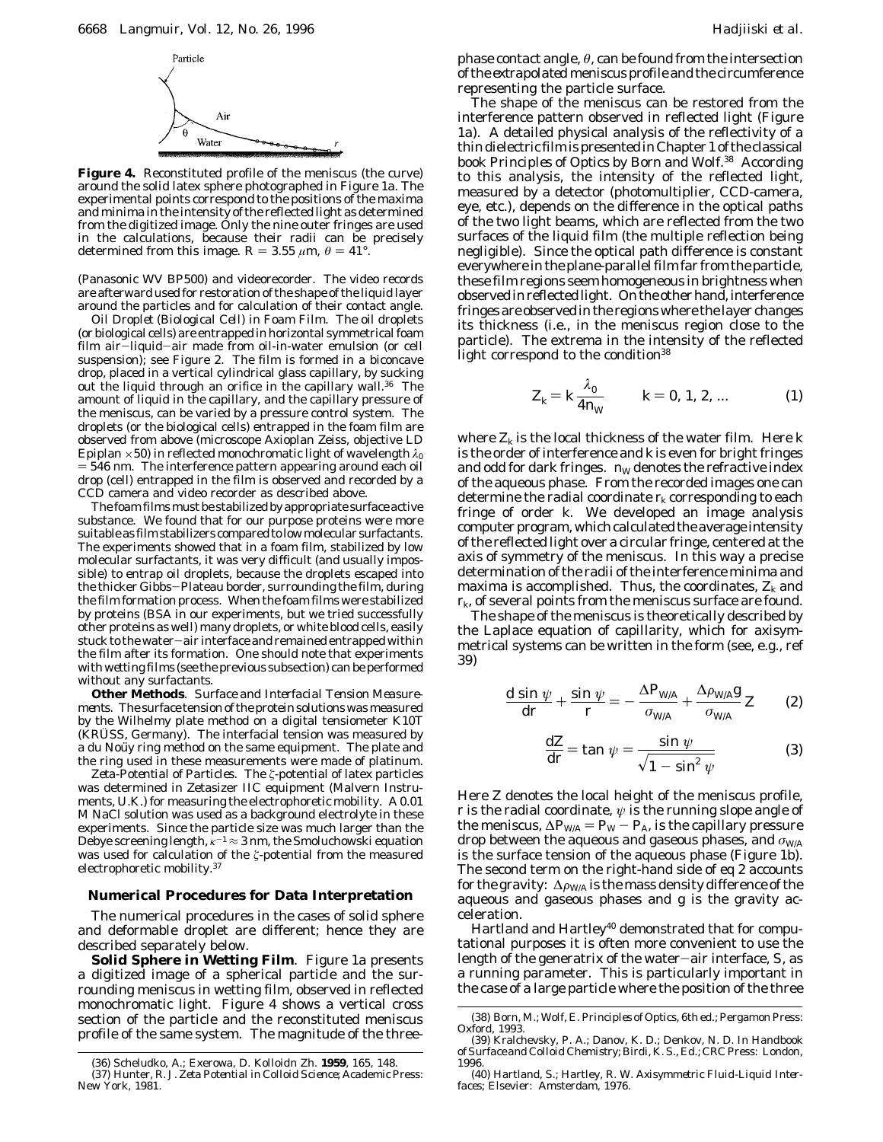

**Figure 4.** Reconstituted profile of the meniscus (the curve) around the solid latex sphere photographed in Figure 1a. The experimental points correspond to the positions of the maxima and minima in the intensity of the reflected light as determined from the digitized image. Only the nine outer fringes are used in the calculations, because their radii can be precisely determined from this image.  $R = 3.55 \mu \text{m}$ ,  $\theta = 41^{\circ}$ 

(Panasonic WV BP500) and videorecorder. The video records are afterward used for restoration of the shape of the liquid layer around the particles and for calculation of their contact angle.

*Oil Droplet (Biological Cell) in Foam Film*. The oil droplets (or biological cells) are entrapped in horizontal symmetrical foam film air-liquid-air made from oil-in-water emulsion (or cell suspension); see Figure 2. The film is formed in a biconcave drop, placed in a vertical cylindrical glass capillary, by sucking out the liquid through an orifice in the capillary wall.<sup>36</sup> The amount of liquid in the capillary, and the capillary pressure of the meniscus, can be varied by a pressure control system. The droplets (or the biological cells) entrapped in the foam film are observed from above (microscope Axioplan Zeiss, objective LD Epiplan  $\times$ 50) in reflected monochromatic light of wavelength  $\lambda_0$  $=$  546 nm. The interference pattern appearing around each oil drop (cell) entrapped in the film is observed and recorded by a CCD camera and video recorder as described above.

The *foam* films must be stabilized by appropriate surface active substance. We found that for our purpose proteins were more suitable as film stabilizers compared to lowmolecular surfactants. The experiments showed that in a foam film, stabilized by low molecular surfactants, it was very difficult (and usually impossible) to entrap oil droplets, because the droplets escaped into the thicker Gibbs-Plateau border, surrounding the film, during the film formation process. When the foam films were stabilized by proteins (BSA in our experiments, but we tried successfully other proteins as well) many droplets, or white blood cells, easily stuck to the water-air interface and remained entrapped within the film after its formation. One should note that experiments with *wetting films* (see the previous subsection) can be performed *without any surfactants.*

**Other Methods**. *Surface and Interfacial Tension Measurements*. The surface tension of the protein solutions was measured by the Wilhelmy plate method on a digital tensiometer K10T (KRÜSS, Germany). The interfacial tension was measured by a du Noüy ring method on the same equipment. The plate and the ring used in these measurements were made of platinum.

*Zeta-Potential of Particles*. The *ú*-potential of latex particles was determined in Zetasizer IIC equipment (Malvern Instruments, U.K.) for measuring the electrophoretic mobility. A 0.01 M NaCl solution was used as a background electrolyte in these experiments. Since the particle size was much larger than the Debye screening length, *<sup>κ</sup>*-<sup>1</sup> <sup>≈</sup> 3 nm, the Smoluchowski equation was used for calculation of the *ú*-potential from the measured electrophoretic mobility.37

# **Numerical Procedures for Data Interpretation**

The numerical procedures in the cases of solid sphere and deformable droplet are different; hence they are described separately below.

**Solid Sphere in Wetting Film**. Figure 1a presents a digitized image of a spherical particle and the surrounding meniscus in wetting film, observed in reflected monochromatic light. Figure 4 shows a vertical cross section of the particle and the reconstituted meniscus profile of the same system. The magnitude of the three-

phase contact angle, *θ*, can be found from the intersection of the *extrapolated* meniscus profile and the circumference representing the particle surface.

The shape of the meniscus can be restored from the interference pattern observed in reflected light (Figure 1a). A detailed physical analysis of the reflectivity of a thin dielectric film is presented in Chapter 1 of the classical book *Principles of Optics* by Born and Wolf.38 According to this analysis, the intensity of the reflected light, measured by a detector (photomultiplier, CCD-camera, eye, etc.), depends on the difference in the optical paths of the two light beams, which are reflected from the two surfaces of the liquid film (the multiple reflection being negligible). Since the optical path difference is constant everywhere in the plane-parallel film far from the particle, these film regions seem homogeneous in brightness when observed in reflected light. On the other hand, interference fringes are observed in the regions where the layer changes its thickness (i.e., in the meniscus region close to the particle). The extrema in the intensity of the reflected light correspond to the condition<sup>38</sup>

$$
Z_k = k \frac{\lambda_0}{4n_{\rm W}} \qquad k = 0, 1, 2, ... \qquad (1)
$$

where *Zk* is the local thickness of the water film. Here *k* is the order of interference and *k* is even for bright fringes and odd for dark fringes.  $n<sub>W</sub>$  denotes the refractive index of the aqueous phase. From the recorded images one can determine the radial coordinate  $r_k$  corresponding to each fringe of order *k*. We developed an image analysis computer program, which calculated the average intensity of the reflected light over a circular fringe, centered at the axis of symmetry of the meniscus. In this way a precise determination of the radii of the interference minima and maxima is accomplished. Thus, the coordinates,  $Z_k$  and *rk*, of several points from the meniscus surface are found.

The shape of the meniscus is theoretically described by the Laplace equation of capillarity, which for axisymmetrical systems can be written in the form (see, e.g., ref 39)

$$
\frac{d \sin \psi}{dr} + \frac{\sin \psi}{r} = -\frac{\Delta P_{\text{W/A}}}{\sigma_{\text{W/A}}} + \frac{\Delta \rho_{\text{W/A}} g}{\sigma_{\text{W/A}}} Z \tag{2}
$$

$$
\frac{\mathrm{d}Z}{\mathrm{d}r} = \tan\psi = \frac{\sin\psi}{\sqrt{1-\sin^2\psi}}\tag{3}
$$

Here *Z* denotes the local height of the meniscus profile, *r* is the radial coordinate, *ψ* is the running slope angle of the meniscus,  $\Delta P_{WA} = P_W - P_A$ , is the capillary pressure drop between the aqueous and gaseous phases, and *σ*<sub>W/A</sub> is the surface tension of the aqueous phase (Figure 1b). The second term on the right-hand side of eq 2 accounts for the gravity:  $\Delta\rho_{W/A}$  is the mass density difference of the aqueous and gaseous phases and *g* is the gravity acceleration.

Hartland and Hartley<sup>40</sup> demonstrated that for computational purposes it is often more convenient to use the length of the generatrix of the water-air interface, *S*, as a running parameter. This is particularly important in the case of a large particle where the position of the three

<sup>(36)</sup> Scheludko, A.; Exerowa, D. *Kolloidn Zh.* **1959**, *165*, 148. (37) Hunter, R. J. *Zeta Potential in Colloid Science*; Academic Press: New York, 1981.

<sup>(38)</sup> Born, M.; Wolf, E. *Principles of Optics*, 6th ed.; Pergamon Press: Oxford, 1993.

<sup>(39)</sup> Kralchevsky, P. A.; Danov, K. D.; Denkov, N. D. In *Handbook of Surface and Colloid Chemistry*; Birdi, K. S., Ed.; CRC Press: London, 1996.

<sup>(40)</sup> Hartland, S.; Hartley, R. W. *Axisymmetric Fluid-Liquid Interfaces*; Elsevier: Amsterdam, 1976.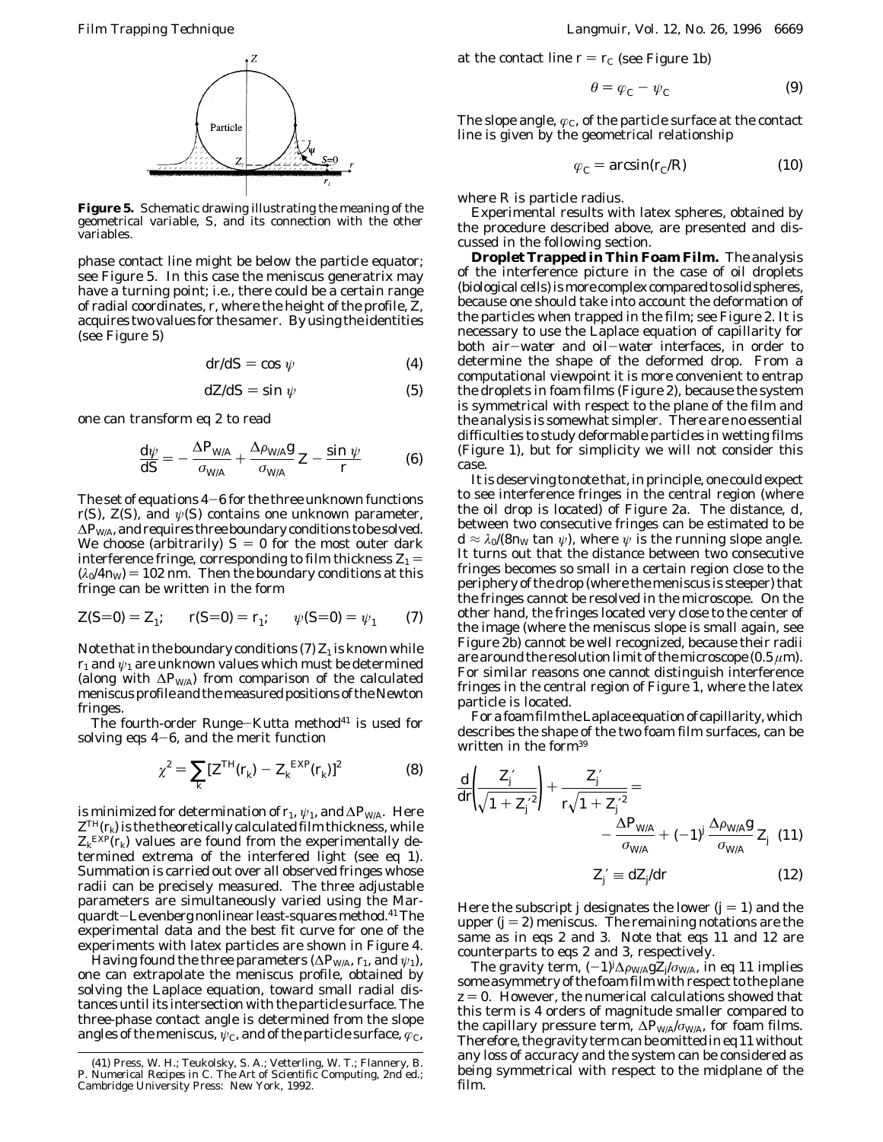

**Figure 5.** Schematic drawing illustrating the meaning of the geometrical variable, *S*, and its connection with the other variables.

phase contact line might be below the particle equator; see Figure 5. In this case the meniscus generatrix may have a turning point; i.e., there could be a certain range of radial coordinates, *r*, where the height of the profile, *Z*, acquires two values for the same *r*. By using the identities (see Figure 5)

$$
dr/dS = \cos \psi \tag{4}
$$

$$
dZdS = \sin \psi \tag{5}
$$

one can transform eq 2 to read

$$
\frac{d\psi}{dS} = -\frac{\Delta P_{\text{W/A}}}{\sigma_{\text{W/A}}} + \frac{\Delta \rho_{\text{W/A}}g}{\sigma_{\text{W/A}}}Z - \frac{\sin \psi}{r}
$$
(6)

The set of equations  $4-6$  for the three unknown functions *r*(*S*), *Z*(*S*), and  $\psi$ (*S*) contains one unknown parameter, ∆*P*W/A, and requires three boundary conditions to be solved. We choose (arbitrarily)  $S = 0$  for the most outer dark interference fringe, corresponding to film thickness  $Z_1 =$  $(\lambda_0/4n_W) = 102$  nm. Then the boundary conditions at this fringe can be written in the form

$$
Z(S=0) = Z_1; \qquad r(S=0) = r_1; \qquad \psi(S=0) = \psi_1 \tag{7}
$$

Note that in the boundary conditions  $(7)$   $Z_1$  is known while  $r_1$  and  $\psi_1$  are unknown values which must be determined (along with ∆*P*W/A) from comparison of the calculated meniscus profile and themeasured positions of the Newton fringes.

The fourth-order Runge-Kutta method<sup>41</sup> is used for solving eqs  $4-6$ , and the merit function

$$
\chi^2 = \sum_{k} [Z^{\text{TH}}(r_k) - Z_k^{\text{EXP}}(r_k)]^2
$$
 (8)

is minimized for determination of  $r_1$ ,  $\psi_1$ , and  $\Delta P_{W/A}$ . Here  $Z<sup>TH</sup>(r<sub>k</sub>)$  is the theoretically calculated film thickness, while  $Z_k^{\text{EXP}}(r_k)$  values are found from the experimentally determined extrema of the interfered light (see eq 1). Summation is carried out over all observed fringes whose radii can be precisely measured. The three adjustable parameters are simultaneously varied using the Marquardt-Levenberg nonlinear least-squares method.41The experimental data and the best fit curve for one of the experiments with latex particles are shown in Figure 4.

Having found the three parameters ( $\Delta P_{W/A}$ ,  $r_1$ , and  $\psi_1$ ), one can extrapolate the meniscus profile, obtained by solving the Laplace equation, toward small radial distances until its intersection with the particle surface. The three-phase contact angle is determined from the slope angles of the meniscus,  $\psi_c$ , and of the particle surface,  $\varphi_c$ ,

at the contact line  $r = r_C$  (see Figure 1b)

$$
\theta = \varphi_{\rm C} - \psi_{\rm C} \tag{9}
$$

The slope angle,  $\varphi_C$ , of the particle surface at the contact line is given by the geometrical relationship

$$
\varphi_{\rm C} = \arcsin(r_{\rm C}/R) \tag{10}
$$

where *R* is particle radius.

Experimental results with latex spheres, obtained by the procedure described above, are presented and discussed in the following section.

**Droplet Trapped in Thin Foam Film.** The analysis of the interference picture in the case of oil droplets (biological cells) ismore complex compared to solid spheres, because one should take into account the deformation of the particles when trapped in the film; see Figure 2. It is necessary to use the Laplace equation of capillarity for both *air*-*water* and *oil*-*water* interfaces, in order to determine the shape of the deformed drop. From a computational viewpoint it is more convenient to entrap the droplets in *foam* films (Figure 2), because the system is symmetrical with respect to the plane of the film and the analysis is somewhat simpler. There are no essential difficulties to study deformable particles in wetting films (Figure 1), but for simplicity we will not consider this case.

It is deserving to note that, in principle, one could expect to see interference fringes in the central region (where the oil drop is located) of Figure 2a. The distance, *d*, between two consecutive fringes can be estimated to be  $d \approx \lambda_0/(8n_{\rm W} \tan \psi)$ , where  $\psi$  is the running slope angle. It turns out that the distance between two consecutive fringes becomes so small in a certain region close to the periphery of the drop (where the meniscus is steeper) that the fringes cannot be resolved in the microscope. On the other hand, the fringes located very close to the center of the image (where the meniscus slope is small again, see Figure 2b) cannot be well recognized, because their radii are around the resolution limit of the microscope  $(0.5 \mu m)$ . For similar reasons one cannot distinguish interference fringes in the central region of Figure 1, where the latex particle is located.

For a foam film the Laplace equation of capillarity, which describes the shape of the two foam film surfaces, can be written in the form<sup>39</sup>

$$
\frac{d}{dr}\left(\frac{Z'_j}{\sqrt{1+Z_j'^2}}\right) + \frac{Z'_j}{r\sqrt{1+Z_j'^2}} = -\frac{\Delta P_{W/A}}{\sigma_{W/A}} + (-1)^j \frac{\Delta \rho_{W/A} g}{\sigma_{W/A}} Z_j \tag{11}
$$

$$
Z_j' \equiv \mathrm{d}Z/\mathrm{d}r \tag{12}
$$

Here the subscript *j* designates the lower  $(j = 1)$  and the upper  $(j = 2)$  meniscus. The remaining notations are the same as in eqs 2 and 3. Note that eqs 11 and 12 are counterparts to eqs 2 and 3, respectively.

The gravity term,  $(-1)$ <sup>*j*</sup> $\Delta \rho_{W/A}$ *gZ<sub>j</sub>*/ $\sigma_{W/A}$ , in eq 11 implies some asymmetry of the foam film with respect to the plane  $z = 0$ . However, the numerical calculations showed that this term is 4 orders of magnitude smaller compared to the capillary pressure term,  $\Delta P_{W/A}/\sigma_{W/A}$ , for foam films. Therefore, the gravity term can be omitted in eq 11 without any loss of accuracy and the system can be considered as being symmetrical with respect to the midplane of the film.

<sup>(41)</sup> Press, W. H.; Teukolsky, S. A.; Vetterling, W. T.; Flannery, B. P. *Numerical Recipes in C. The Art of Scientific Computing*, 2nd ed.; Cambridge University Press: New York, 1992.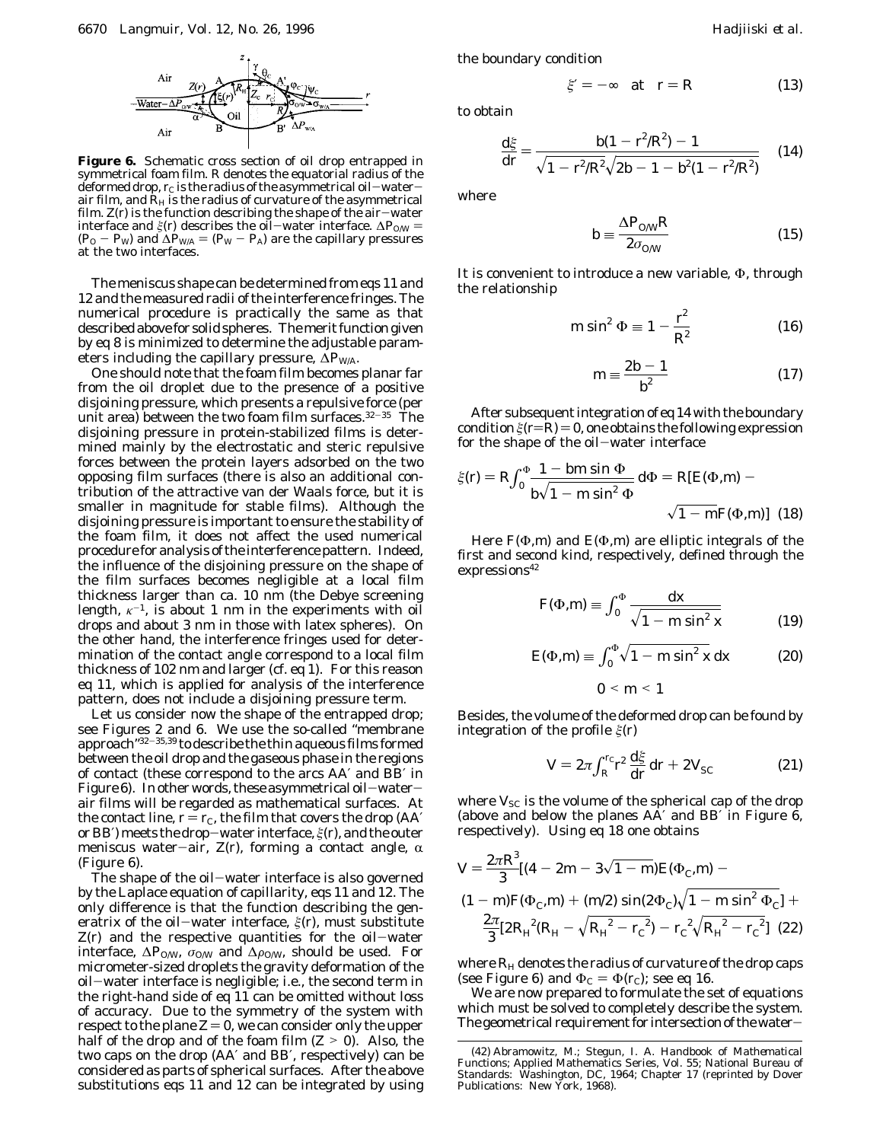

**Figure 6.** Schematic cross section of oil drop entrapped in symmetrical foam film. *R* denotes the equatorial radius of the deformed drop, *r*<sub>C</sub> is the radius of the asymmetrical oil-waterair film, and  $R<sub>H</sub>$  is the radius of curvature of the asymmetrical film.  $Z(r)$  is the function describing the shape of the air-water interface and  $\xi(t)$  describes the oil–water interface.  $\Delta P_{\text{OW}}$  =  $(P_0 - P_W)$  and  $\Delta P_{W/A} = (P_W - P_A)$  are the capillary pressures at the two interfaces.

The meniscus shape can be determined from eqs 11 and 12 and the measured radii of the interference fringes. The numerical procedure is practically the same as that described above for solid spheres. Themerit function given by eq 8 is minimized to determine the adjustable parameters including the capillary pressure,  $ΔP<sub>W/A</sub>$ .

One should note that the foam film becomes planar far from the oil droplet due to the presence of a positive disjoining pressure, which presents a repulsive force (per unit area) between the two foam film surfaces.<sup>32-35</sup> The disjoining pressure in protein-stabilized films is determined mainly by the electrostatic and steric repulsive forces between the protein layers adsorbed on the two opposing film surfaces (there is also an additional contribution of the attractive van der Waals force, but it is smaller in magnitude for stable films). Although the disjoining pressure is important to ensure the stability of the foam film, it does not affect the used numerical procedure for analysis of the interference pattern. Indeed, the influence of the disjoining pressure on the shape of the film surfaces becomes negligible at a local film thickness larger than ca. 10 nm (the Debye screening length,  $\kappa^{-1}$ , is about 1 nm in the experiments with oil drops and about 3 nm in those with latex spheres). On the other hand, the interference fringes used for determination of the contact angle correspond to a local film thickness of 102 nm and larger (cf. eq 1). For this reason eq 11, which is applied for analysis of the interference pattern, does not include a disjoining pressure term.

Let us consider now the shape of the entrapped drop; see Figures 2 and 6. We use the so-called "membrane approach"32-35,39 to describe the thin aqueous films formed between the oil drop and the gaseous phase in the regions of contact (these correspond to the arcs AA′ and BB′ in Figure 6). In other words, these asymmetrical oil-waterair films will be regarded as mathematical surfaces. At the contact line,  $r = r<sub>C</sub>$ , the film that covers the drop (AA' or BB′) meets the drop-water interface, *ê*(*r*), and the outer meniscus water-air,  $Z(r)$ , forming a contact angle,  $\alpha$ (Figure 6).

The shape of the oil-water interface is also governed by the Laplace equation of capillarity, eqs 11 and 12. The only difference is that the function describing the generatrix of the oil-water interface,  $\xi(r)$ , must substitute *Z*(*r*) and the respective quantities for the oil-water interface,  $\Delta P_{\text{OW}}$ ,  $\sigma_{\text{OW}}$  and  $\Delta \rho_{\text{OW}}$ , should be used. For micrometer-sized droplets the gravity deformation of the oil-water interface is negligible; i.e., the second term in the right-hand side of eq 11 can be omitted without loss of accuracy. Due to the symmetry of the system with respect to the plane  $Z = 0$ , we can consider only the upper half of the drop and of the foam film  $(Z > 0)$ . Also, the two caps on the drop (AA′ and BB′, respectively) can be considered as parts of spherical surfaces. After the above substitutions eqs 11 and 12 can be integrated by using the boundary condition

 $\xi' = -\infty$  at  $r = R$  (13)

to obtain

$$
\frac{\mathrm{d}\xi}{\mathrm{d}r} = \frac{b(1 - r^2/R^2) - 1}{\sqrt{1 - r^2/R^2}\sqrt{2b - 1 - b^2(1 - r^2/R^2)}}\tag{14}
$$

where

$$
b = \frac{\Delta P_{\text{O/W}} R}{2\sigma_{\text{O/W}}} \tag{15}
$$

It is convenient to introduce a new variable, Φ, through the relationship

$$
m\sin^2\Phi \equiv 1 - \frac{r^2}{R^2} \tag{16}
$$

$$
m = \frac{2b - 1}{b^2} \tag{17}
$$

After subsequent integration of eq 14 with the boundary condition  $\xi(r=R) = 0$ , one obtains the following expression for the shape of the oil-water interface

$$
\xi(r) = R \int_0^{\Phi} \frac{1 - bm \sin \Phi}{b\sqrt{1 - m \sin^2 \Phi}} d\Phi = R[E(\Phi, m) - \sqrt{1 - mF(\Phi, m)}]
$$
(18)

Here *F*(Φ,*m*) and *E*(Φ,*m*) are elliptic integrals of the first and second kind, respectively, defined through the expressions<sup>42</sup>

$$
F(\Phi, m) \equiv \int_0^{\Phi} \frac{\mathrm{d}x}{\sqrt{1 - m \sin^2 x}} \tag{19}
$$

$$
E(\Phi, m) \equiv \int_0^{\Phi} \sqrt{1 - m \sin^2 x} \, \mathrm{d}x \tag{20}
$$

$$
0 \leq m \leq 1
$$

Besides, the volume of the deformed drop can be found by integration of the profile  $\xi(r)$ 

$$
V = 2\pi \int_{R}^{r_{\rm C}} r^2 \frac{\mathrm{d}\xi}{\mathrm{d}r} \mathrm{d}r + 2V_{\rm SC} \tag{21}
$$

where  $V_{SC}$  is the volume of the spherical cap of the drop (above and below the planes  $A\overline{A}'$  and BB' in Figure  $\overline{6}$ , respectively). Using eq 18 one obtains

$$
V = \frac{2\pi R^3}{3} [(4 - 2m - 3\sqrt{1 - m}) E(\Phi_C, m) - (1 - m) F(\Phi_C, m) + (m/2) \sin(2\Phi_C) \sqrt{1 - m \sin^2 \Phi_C} ] + \frac{2\pi}{3} [2R_H^2(R_H - \sqrt{R_H^2 - r_C^2}) - r_C^2 \sqrt{R_H^2 - r_C^2}]
$$
 (22)

where  $R<sub>H</sub>$  denotes the radius of curvature of the drop caps (see Figure 6) and  $\Phi_C = \Phi(r_C)$ ; see eq 16.

We are now prepared to formulate the set of equations which must be solved to completely describe the system. The geometrical requirement for intersection of the water-

<sup>(42)</sup> Abramowitz, M.; Stegun, I. A. *Handbook of Mathematical Functions*; Applied Mathematics Series, Vol. 55; National Bureau of Standards: Washington, DC, 1964; Chapter 17 (reprinted by Dover Publications: New York, 1968).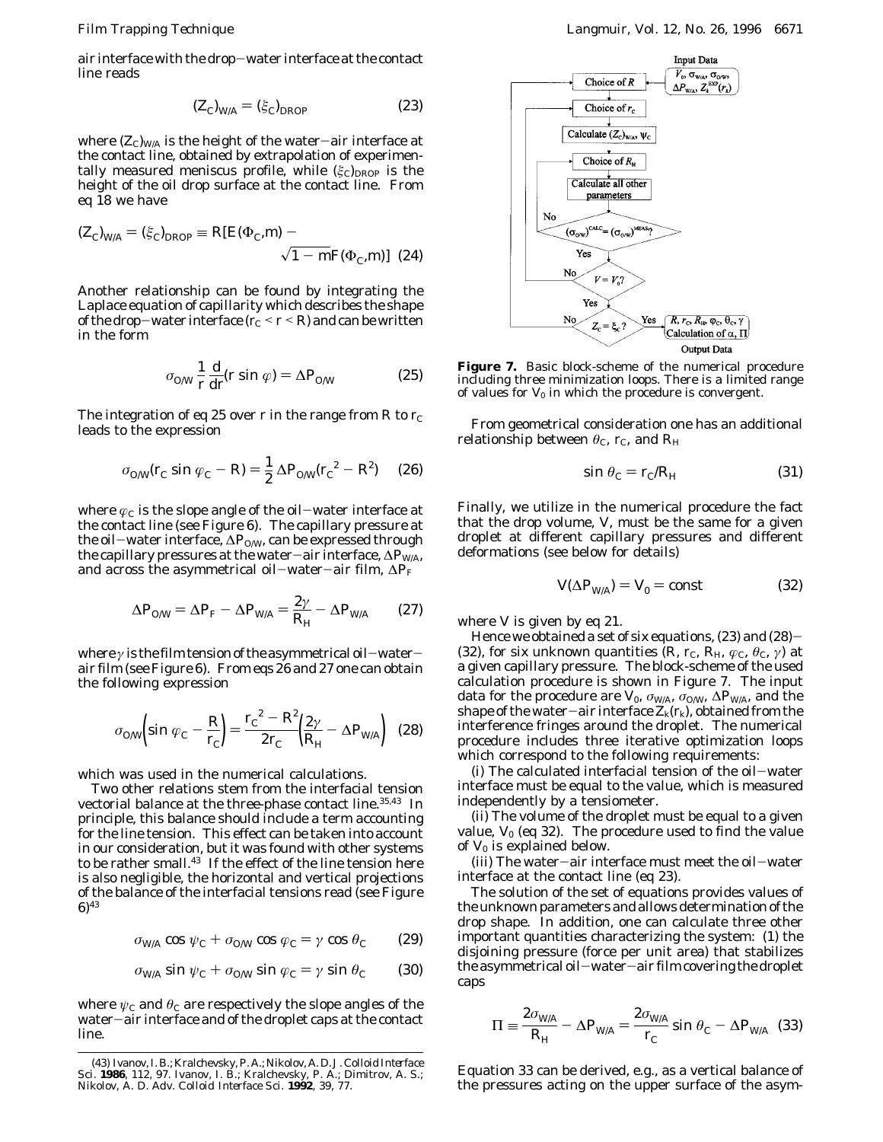air interface with the drop-water interface at the contact line reads

$$
(Z_{\rm C})_{\rm W/A} = (\xi_{\rm C})_{\rm DROP} \tag{23}
$$

where  $(Z_{\text{C}})_{\text{W/A}}$  is the height of the water-air interface at the contact line, obtained by extrapolation of experimentally measured meniscus profile, while  $(\xi_c)_{\text{DROP}}$  is the height of the oil drop surface at the contact line. From eq 18 we have

$$
(Z_{\rm C})_{\rm W/A} = (\xi_{\rm C})_{\rm DROP} \equiv R[E(\Phi_{\rm C}, m) - \sqrt{1 - m}F(\Phi_{\rm C}, m)] \tag{24}
$$

Another relationship can be found by integrating the Laplace equation of capillarity which describes the shape of the drop-water interface  $(r_c < r < R)$  and can be written in the form

$$
\sigma_{\text{O/W}} \frac{1}{r} \frac{d}{dr} (r \sin \varphi) = \Delta P_{\text{O/W}} \tag{25}
$$

The integration of eq 25 over *r* in the range from *R* to  $r_c$ leads to the expression

$$
\sigma_{\text{OM}}(r_{\text{C}} \sin \varphi_{\text{C}} - R) = \frac{1}{2} \Delta P_{\text{OM}}(r_{\text{C}}^2 - R^2) \quad (26)
$$

where  $\varphi_c$  is the slope angle of the oil-water interface at the contact line (see Figure 6). The capillary pressure at the oil-water interface, ΔP<sub>O/W</sub>, can be expressed through the capillary pressures at the water-air interface, ∆*P*W/A, and across the asymmetrical oil-water-air film,  $\Delta P_F$ 

$$
\Delta P_{\text{O/W}} = \Delta P_{\text{F}} - \Delta P_{\text{W/A}} = \frac{2\gamma}{R_{\text{H}}} - \Delta P_{\text{W/A}} \tag{27}
$$

where *γ* is the film tension of the asymmetrical oil-waterair film (see Figure 6). From eqs 26 and 27 one can obtain the following expression

$$
\sigma_{\text{OM}} \Big( \sin \varphi_C - \frac{R}{r_C} \Big) = \frac{r_C^2 - R^2}{2r_C} \Big( \frac{2\gamma}{R_H} - \Delta P_{\text{W/A}} \Big) \quad (28)
$$

which was used in the numerical calculations.

Two other relations stem from the interfacial tension vectorial balance at the three-phase contact line.<sup>35,43</sup> In principle, this balance should include a term accounting for the line tension. This effect can be taken into account in our consideration, but it was found with other systems to be rather small.<sup>43</sup> If the effect of the line tension here is also negligible, the horizontal and vertical projections of the balance of the interfacial tensions read (see Figure  $6)$ <sup>43</sup>

$$
\sigma_{\text{W/A}} \cos \psi_{\text{C}} + \sigma_{\text{O/W}} \cos \varphi_{\text{C}} = \gamma \cos \theta_{\text{C}} \qquad (29)
$$

$$
\sigma_{\text{W/A}} \sin \psi_{\text{C}} + \sigma_{\text{O/W}} \sin \varphi_{\text{C}} = \gamma \sin \theta_{\text{C}} \qquad (30)
$$

where  $\psi_c$  and  $\theta_c$  are respectively the slope angles of the water-air interface and of the droplet caps at the contact line.



**Figure 7.** Basic block-scheme of the numerical procedure including three minimization loops. There is a limited range of values for *V*<sup>0</sup> in which the procedure is convergent.

From geometrical consideration one has an additional relationship between  $\theta_{\rm C}$ ,  $r_{\rm C}$ , and  $R_{\rm H}$ 

$$
\sin \theta_{\rm C} = r_{\rm C}/R_{\rm H} \tag{31}
$$

Finally, we utilize in the numerical procedure the fact that the drop volume, *V*, must be the same for a given droplet at different capillary pressures and different deformations (see below for details)

$$
V(\Delta P_{\text{W/A}}) = V_0 = \text{const}
$$
 (32)

where *V* is given by eq 21.

Hence we obtained a set of six equations,  $(23)$  and  $(28)$ -(32), for six unknown quantities  $(R, r_c, R_H, \varphi_c, \theta_c, \gamma)$  at a given capillary pressure. The block-scheme of the used calculation procedure is shown in Figure 7. The input data for the procedure are  $V_0$ ,  $\sigma_{W/A}$ ,  $\sigma_{O/W}$ ,  $\Delta P_{W/A}$ , and the shape of the water-air interface  $Z_k(r_k)$ , obtained from the interference fringes around the droplet. The numerical procedure includes three iterative optimization loops which correspond to the following requirements:

(i) The calculated interfacial tension of the oil-water interface must be equal to the value, which is measured independently by a tensiometer.

(ii) The volume of the droplet must be equal to a given value,  $V_0$  (eq 32). The procedure used to find the value of *V*<sup>0</sup> is explained below.

(iii) The water-air interface must meet the oil-water interface at the contact line (eq 23).

The solution of the set of equations provides values of the unknown parameters and allows determination of the drop shape. In addition, one can calculate three other important quantities characterizing the system: (1) the disjoining pressure (force per unit area) that stabilizes the asymmetrical oil-water-air film covering the droplet caps

$$
\Pi \equiv \frac{2\sigma_{\text{W/A}}}{R_{\text{H}}} - \Delta P_{\text{W/A}} = \frac{2\sigma_{\text{W/A}}}{r_{\text{C}}} \sin \theta_{\text{C}} - \Delta P_{\text{W/A}} \tag{33}
$$

Equation 33 can be derived, e.g., as a vertical balance of the pressures acting on the upper surface of the asym-

<sup>(43)</sup> Ivanov, I. B.; Kralchevsky, P. A.; Nikolov, A. D.*J. Colloid Interface Sci.* **1986**, *112*, 97. Ivanov, I. B.; Kralchevsky, P. A.; Dimitrov, A. S.; Nikolov, A. D. *Adv. Colloid Interface Sci.* **1992**, *39*, 77.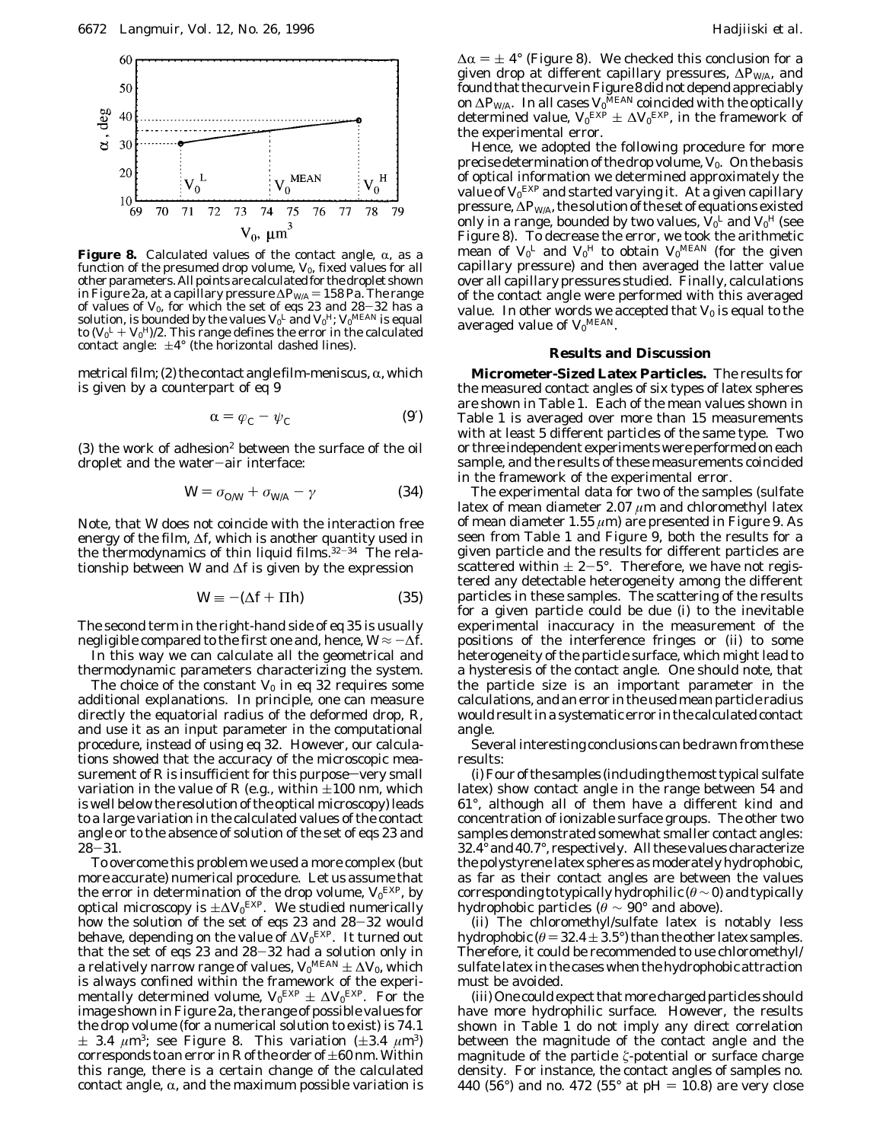

**Figure 8.** Calculated values of the contact angle,  $\alpha$ , as a function of the presumed drop volume,  $V_0$ , fixed values for all other parameters. All points are calculated for the droplet shown in Figure 2a, at a capillary pressure  $\Delta P_{W/A}$  = 158 Pa. The range of values of  $V_0$ , for which the set of eqs 23 and 28-32 has a solution, is bounded by the values  $V_0^{\rm L}$  and  $V_0^{\rm H};\,V_0^{\rm MEAN}$  is equal to  $(V_0^L + V_0^H)/2$ . This range defines the error in the calculated contact angle:  $\pm 4^{\circ}$  (the horizontal dashed lines).

metrical film; (2) the contact angle film-meniscus,  $\alpha$ , which is given by a counterpart of eq 9

$$
\alpha = \varphi_{\rm C} - \psi_{\rm C} \tag{9'}
$$

 $(3)$  the work of adhesion<sup>2</sup> between the surface of the oil droplet and the water-air interface:

$$
W = \sigma_{\text{O/W}} + \sigma_{\text{W/A}} - \gamma \tag{34}
$$

Note, that *W* does not coincide with the interaction free energy of the film, ∆*f*, which is another quantity used in the thermodynamics of thin liquid films. $32-34$  The relationship between *W* and ∆*f* is given by the expression

$$
W \equiv -(\Delta f + \Pi h) \tag{35}
$$

The second term in the right-hand side of eq 35 is usually negligible compared to the first one and, hence,  $W \approx -\Delta f$ .

In this way we can calculate all the geometrical and thermodynamic parameters characterizing the system.

The choice of the constant  $V_0$  in eq 32 requires some additional explanations. In principle, one can measure directly the equatorial radius of the deformed drop, *R*, and use it as an input parameter in the computational procedure, instead of using eq 32. However, our calculations showed that the accuracy of the microscopic measurement of  $R$  is insufficient for this purpose—very small variation in the value of *R* (e.g., within  $\pm 100$  nm, which is well below the resolution of the optical microscopy) leads to a large variation in the calculated values of the contact angle or to the absence of solution of the set of eqs 23 and 28-31.

To overcome this problem we used a more complex (but more accurate) numerical procedure. Let us assume that the error in determination of the drop volume,  $V_0^{\text{EXP}}$ , by optical microscopy is  $\pm \Delta\mathit{V}_{0}^{\text{EXP}}$ . We studied numerically how the solution of the set of eqs 23 and 28-32 would behave, depending on the value of  $\Delta\mathit{V}_{0}^{\text{EXP}}.$  It turned out that the set of eqs 23 and 28-32 had a solution only in a relatively narrow range of values,  $\ V_{0}^{\text{MEAN}} \pm \Delta \ V_{0}$ , which is always confined within the framework of the experimentally determined volume,  $V_0^{\text{EXP}} \pm \Delta V_0^{\text{EXP}}$ . For the image shown in Figure 2a, the range of possible values for the drop volume (for a numerical solution to exist) is 74.1  $\pm$  3.4  $\mu$ m<sup>3</sup>; see Figure 8. This variation ( $\pm$ 3.4  $\mu$ m<sup>3</sup>) corresponds to an error in *R* of the order of  $\pm 60$  nm. Within this range, there is a certain change of the calculated contact angle,  $\alpha$ , and the maximum possible variation is  $\Delta \alpha = \pm 4^{\circ}$  (Figure 8). We checked this conclusion for a given drop at different capillary pressures, ∆P<sub>W/A</sub>, and found that the curve in Figure 8 did not depend appreciably on ∆ $P_{\text{W/A}}$ . In all cases  $\mathit{V_{0}}^{\text{MEAN}}$  coincided with the optically determined value,  $V_0^{\text{EXP}} \pm \Delta V_0^{\text{EXP}}$ , in the framework of the experimental error.

Hence, we adopted the following procedure for more precise determination of the drop volume,  $V_0$ . On the basis of optical information we determined approximately the value of  $\mathit{V_{0}}^{\text{EXP}}$  and started varying it.  $\,$  At a given capillary pressure, ∆*P*<sub>W/A</sub>, the solution of the set of equations existed only in a range, bounded by two values,  $\,V_0^{\rm L}$  and  $\,V_0^{\rm H}$  (see Figure 8). To decrease the error, we took the arithmetic mean of  $V_0^{\rm L}$  and  $V_0^{\rm H}$  to obtain  $V_0^{\rm MEAN}$  (for the given capillary pressure) and then averaged the latter value over all capillary pressures studied. Finally, calculations of the contact angle were performed with this averaged value. In other words we accepted that  $V_0$  is equal to the averaged value of  $V_0^{\text{MEAN}}$ .

# **Results and Discussion**

**Micrometer-Sized Latex Particles.** The results for the measured contact angles of six types of latex spheres are shown in Table 1. Each of the mean values shown in Table 1 is averaged over more than 15 measurements with at least 5 different particles of the same type. Two or three independent experiments were performed on each sample, and the results of these measurements coincided in the framework of the experimental error.

The experimental data for two of the samples (sulfate latex of mean diameter 2.07 *µ*m and chloromethyl latex of mean diameter 1.55 *µ*m) are presented in Figure 9. As seen from Table 1 and Figure 9, both the results for a given particle and the results for different particles are scattered within  $\pm 2-5^{\circ}$ . Therefore, we have not registered any detectable heterogeneity among the different particles in these samples. The scattering of the results for a given particle could be due (i) to the inevitable experimental inaccuracy in the measurement of the positions of the interference fringes or (ii) to some heterogeneity of the particle surface, which might lead to a hysteresis of the contact angle. One should note, that the particle size is an important parameter in the calculations, and an error in the used mean particle radius would result in a systematic error in the calculated contact angle.

Several interesting conclusions can be drawn from these results:

(i) Four of the samples (including themost typical sulfate latex) show contact angle in the range between 54 and 61°, although all of them have a different kind and concentration of ionizable surface groups. The other two samples demonstrated somewhat smaller contact angles: 32.4° and 40.7°, respectively. All these values characterize the polystyrene latex spheres as moderately hydrophobic, as far as their contact angles are between the values corresponding to typically hydrophilic (*θ*∼0) and typically hydrophobic particles ( $\theta \sim 90^{\circ}$  and above).

(ii) The chloromethyl/sulfate latex is notably less hydrophobic ( $\theta$  = 32.4  $\pm$  3.5°) than the other latex samples. Therefore, it could be recommended to use chloromethyl/ sulfate latex in the cases when the hydrophobic attraction must be avoided.

(iii) One could expect that more charged particles should have more hydrophilic surface. However, the results shown in Table 1 do not imply any direct correlation between the magnitude of the contact angle and the magnitude of the particle *ζ*-potential or surface charge density. For instance, the contact angles of samples no. 440 (56°) and no. 472 (55° at pH = 10.8) are very close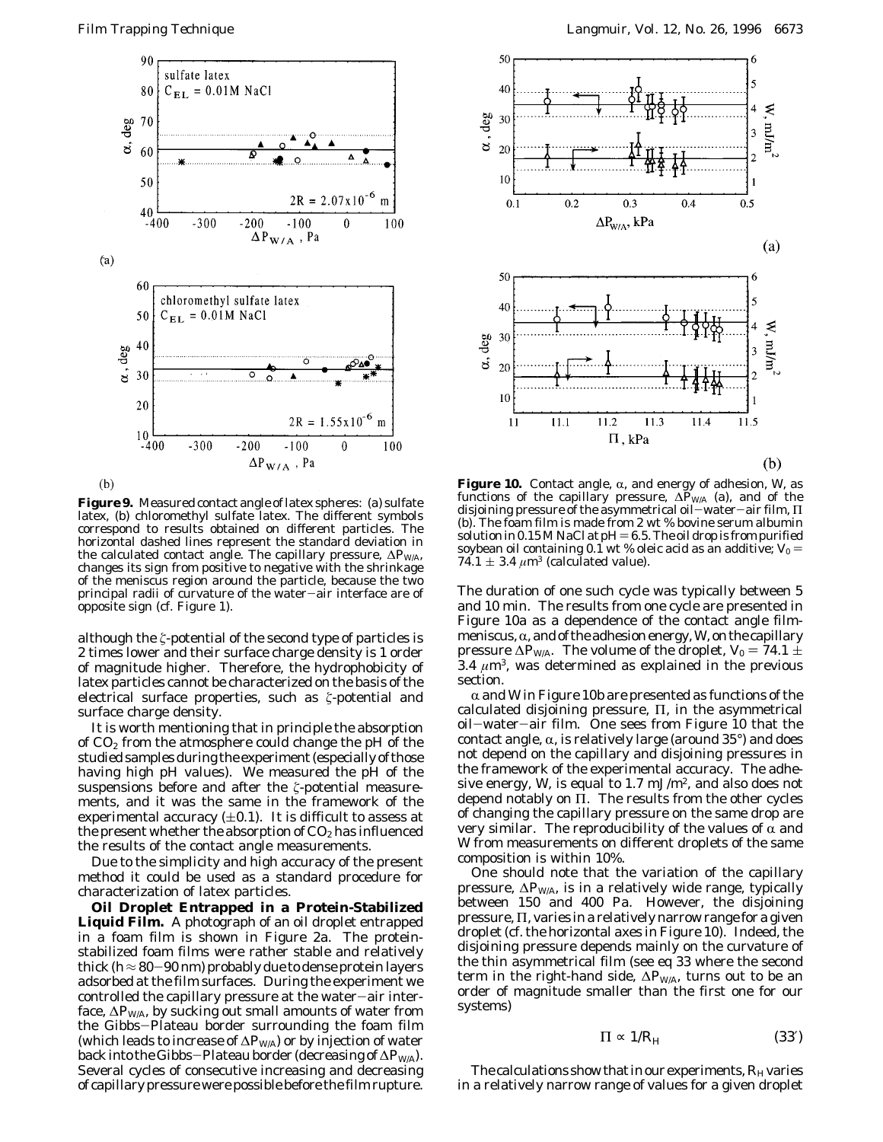

**Figure 9.** Measured contact angle of latex spheres: (a) sulfate latex, (b) chloromethyl sulfate latex. The different symbols correspond to results obtained on different particles. The horizontal dashed lines represent the standard deviation in the calculated contact angle. The capillary pressure, ∆*P*W/A, changes its sign from positive to negative with the shrinkage of the meniscus region around the particle, because the two principal radii of curvature of the water-air interface are of opposite sign (cf. Figure 1).

although the *ú*-potential of the second type of particles is 2 times lower and their surface charge density is 1 order of magnitude higher. Therefore, the hydrophobicity of latex particles cannot be characterized on the basis of the electrical surface properties, such as *ú*-potential and surface charge density.

It is worth mentioning that in principle the absorption of  $CO<sub>2</sub>$  from the atmosphere could change the pH of the studied samples during the experiment (especially of those having high pH values). We measured the pH of the suspensions before and after the *ú*-potential measurements, and it was the same in the framework of the experimental accuracy  $(\pm 0.1)$ . It is difficult to assess at the present whether the absorption of  $CO<sub>2</sub>$  has influenced the results of the contact angle measurements.

Due to the simplicity and high accuracy of the present method it could be used as a standard procedure for characterization of latex particles.

**Oil Droplet Entrapped in a Protein-Stabilized Liquid Film.** A photograph of an oil droplet entrapped in a foam film is shown in Figure 2a. The proteinstabilized foam films were rather stable and relatively thick  $(h \approx 80 - 90 \text{ nm})$  probably due to dense protein layers adsorbed at the film surfaces. During the experiment we controlled the capillary pressure at the water-air interface,  $\Delta P_{W/A}$ , by sucking out small amounts of water from the Gibbs-Plateau border surrounding the foam film (which leads to increase of ∆*P*<sub>W/A</sub>) or by injection of water back into the Gibbs-Plateau border (decreasing of  $\Delta P_{W/A}$ ). Several cycles of consecutive increasing and decreasing of capillary pressure were possible before the film rupture.



**Figure 10.** Contact angle,  $\alpha$ , and energy of adhesion, *W*, as functions of the capillary pressure,  $\Delta \tilde{P}_{W/A}$  (a), and of the disjoining pressure of the asymmetrical oil-water-air film, Π (b). The foam film is made from 2 wt % bovine serum albumin solution in  $0.15$  M NaCl at pH = 6.5. The oil drop is from purified soybean oil containing 0.1 wt % oleic acid as an additive;  $V_0 =$ 74.1  $\pm$  3.4  $\mu$ m<sup>3</sup> (calculated value).

The duration of one such cycle was typically between 5 and 10 min. The results from one cycle are presented in Figure 10a as a dependence of the contact angle filmmeniscus,  $\alpha$ , and of the adhesion energy, *W*, on the capillary pressure  $\Delta P_{W/A}$ . The volume of the droplet,  $V_0 = 74.1 \pm 100$  $3.4 \ \mu m^3$ , was determined as explained in the previous section.

 $\alpha$  and  $W$  in Figure 10b are presented as functions of the calculated disjoining pressure, Π, in the asymmetrical oil-water-air film. One sees from Figure 10 that the contact angle,  $\alpha$ , is relatively large (around 35 $^{\circ}$ ) and does not depend on the capillary and disjoining pressures in the framework of the experimental accuracy. The adhesive energy, *W*, is equal to 1.7 mJ/m2, and also does not depend notably on Π. The results from the other cycles of changing the capillary pressure on the same drop are very similar. The reproducibility of the values of  $\alpha$  and *W* from measurements on different droplets of the same composition is within 10%.

One should note that the variation of the capillary pressure,  $\Delta P_{W/A}$ , is in a relatively wide range, typically between 150 and 400 Pa. However, the disjoining pressure, Π, varies in a relatively narrow range for a given droplet (cf. the horizontal axes in Figure 10). Indeed, the disjoining pressure depends mainly on the curvature of the thin asymmetrical film (see eq 33 where the second term in the right-hand side, ∆*P*<sub>W/A</sub>, turns out to be an order of magnitude smaller than the first one for our systems)

$$
\Pi \propto 1/R_{\rm H} \tag{33'}
$$

The calculations show that in our experiments,  $R_H$  varies in a relatively narrow range of values for a given droplet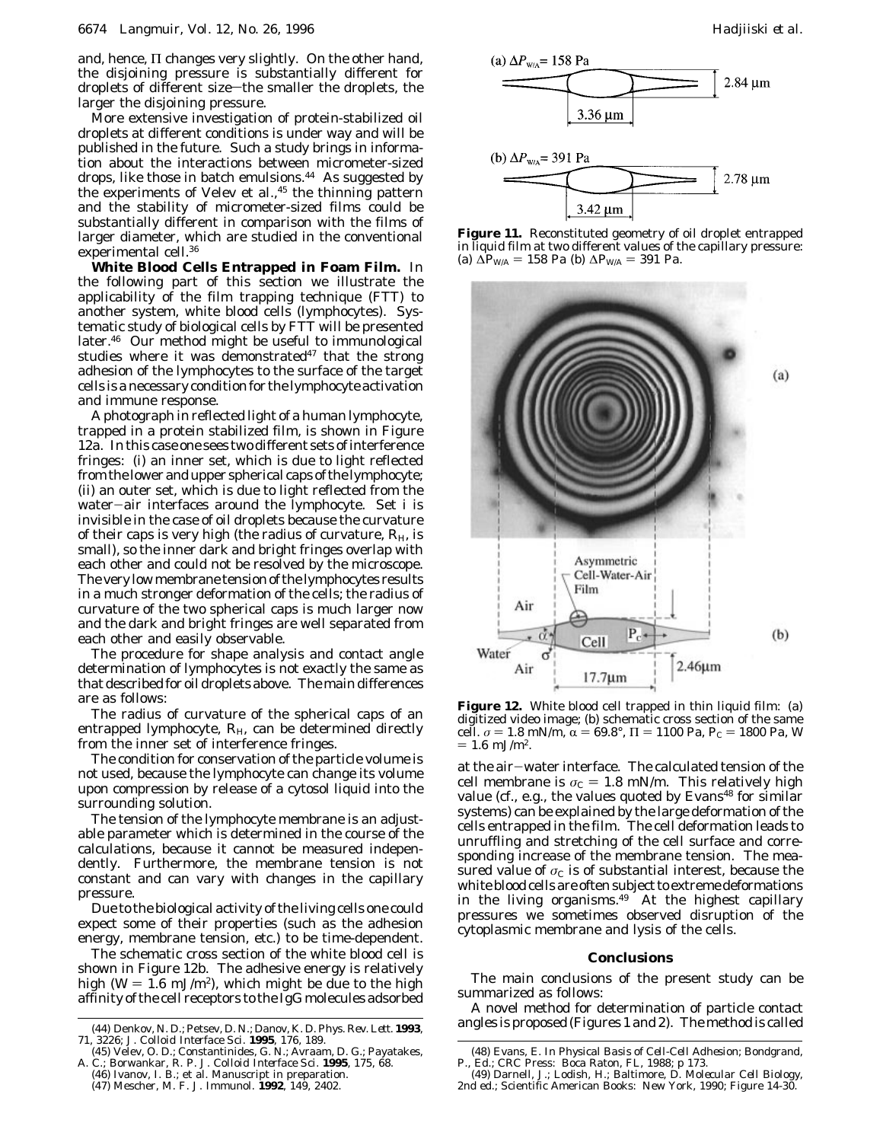and, hence, Π changes very slightly. On the other hand, the disjoining pressure is substantially different for droplets of different size-the smaller the droplets, the larger the disjoining pressure.

More extensive investigation of protein-stabilized oil droplets at different conditions is under way and will be published in the future. Such a study brings in information about the interactions between micrometer-sized drops, like those in batch emulsions.<sup>44</sup> As suggested by the experiments of Velev et al., $45$  the thinning pattern and the stability of micrometer-sized films could be substantially different in comparison with the films of larger diameter, which are studied in the conventional experimental cell.36

**White Blood Cells Entrapped in Foam Film.** In the following part of this section we illustrate the applicability of the film trapping technique (FTT) to another system, white blood cells (lymphocytes). Systematic study of biological cells by FTT will be presented later.<sup>46</sup> Our method might be useful to immunological studies where it was demonstrated $47$  that the strong adhesion of the lymphocytes to the surface of the target cells is a necessary condition for the lymphocyte activation and immune response.

A photograph in reflected light of a human lymphocyte, trapped in a protein stabilized film, is shown in Figure 12a. In this case one sees two different sets of interference fringes: (i) an inner set, which is due to light reflected from the lower and upper spherical caps of the lymphocyte; (ii) an outer set, which is due to light reflected from the water-air interfaces around the lymphocyte. Set i is invisible in the case of oil droplets because the curvature of their caps is very high (the radius of curvature,  $R_{\rm H}$ , is small), so the inner dark and bright fringes overlap with each other and could not be resolved by the microscope. The very lowmembrane tension of the lymphocytes results in a much stronger deformation of the cells; the radius of curvature of the two spherical caps is much larger now and the dark and bright fringes are well separated from each other and easily observable.

The procedure for shape analysis and contact angle determination of lymphocytes is not exactly the same as that described for oil droplets above. The main differences are as follows:

The radius of curvature of the spherical caps of an entrapped lymphocyte,  $R_{\text{H}}$ , can be determined directly from the inner set of interference fringes.

The condition for conservation of the particle volume is not used, because the lymphocyte can change its volume upon compression by release of a cytosol liquid into the surrounding solution.

The tension of the lymphocyte membrane is an adjustable parameter which is determined in the course of the calculations, because it cannot be measured independently. Furthermore, the membrane tension is not constant and can vary with changes in the capillary pressure.

Due to the biological activity of the living cells one could expect some of their properties (such as the adhesion energy, membrane tension, etc.) to be time-dependent.

The schematic cross section of the white blood cell is shown in Figure 12b. The adhesive energy is relatively high ( $W = 1.6$  mJ/m<sup>2</sup>), which might be due to the high affinity of the cell receptors to the IgG molecules adsorbed



**Figure 11.** Reconstituted geometry of oil droplet entrapped in liquid film at two different values of the capillary pressure: (a)  $\Delta P_{W/A} = 158$  Pa (b)  $\Delta P_{W/A} = 391$  Pa.



**Figure 12.** White blood cell trapped in thin liquid film: (a) digitized video image; (b) schematic cross section of the same cell.  $\sigma = 1.8$  mN/m,  $\alpha = 69.8^{\circ}$ ,  $\Pi = 1100$  Pa,  $P_C = 1800$  Pa, *W*  $= 1.6$  mJ/m<sup>2</sup>.

at the air-water interface. The calculated tension of the cell membrane is  $\sigma_C = 1.8$  mN/m. This relatively high value (cf., e.g., the values quoted by Evans $48$  for similar systems) can be explained by the large deformation of the cells entrapped in the film. The cell deformation leads to unruffling and stretching of the cell surface and corresponding increase of the membrane tension. The measured value of  $\sigma_C$  is of substantial interest, because the white blood cells are often subject to extreme deformations in the living organisms. $49$  At the highest capillary pressures we sometimes observed disruption of the cytoplasmic membrane and lysis of the cells.

### **Conclusions**

The main conclusions of the present study can be summarized as follows:

A novel method for determination of particle contact

angles is proposed (Figures 1 and 2). The method is called (44) Denkov, N. D.; Petsev, D. N.; Danov, K. D. *Phys. Rev. Lett.* **<sup>1993</sup>**, *71*, 3226; *J. Colloid Interface Sci.* **1995**, *176*, 189.

<sup>(45)</sup> Velev, O. D.; Constantinides, G. N.; Avraam, D. G.; Payatakes, A. C.; Borwankar, R. P. *J. Colloid Interface Sci.* **1995**, *175*, 68. (46) Ivanov, I. B.; et al. Manuscript in preparation.

<sup>(47)</sup> Mescher, M. F. *J. Immunol.* **1992**, *149*, 2402.

<sup>(48)</sup> Evans, E. In *Physical Basis of Cell-Cell Adhesion*; Bondgrand,

P., Ed.; CRC Press: Boca Raton, FL, 1988; p 173.<br>(49) Darnell, J.; Lodish, H.; Baltimore, D. *Molecular Cell Biology,*<br>2nd ed.; Scientific American Books: New York, 1990; Figure 14-30.